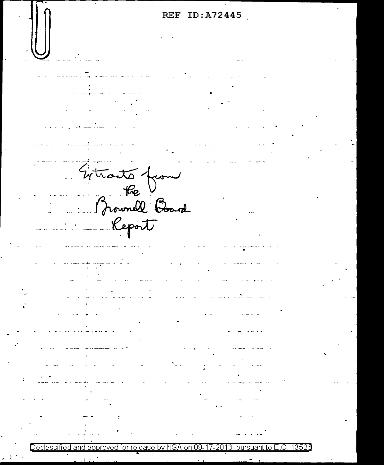**REF ID:A72445**  •  $-4+1$  $\frac{1}{2}$ : Prownell Board  $\ldots$   $\ldots$   $\ldots$   $\ldots$   $\ldots$ - ---------- - . -- ---- **\_.J.\_** ---,- -- - -- - Declassified and approved for release by NSA on 09-17-2013 pursuant to E.O. 1352 $\theta$ •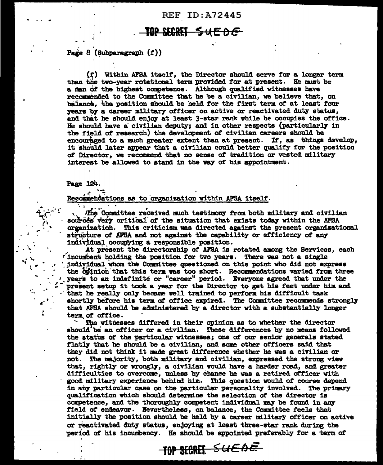**REF ID: A72445** 

## AP SEREE <del>uede</del>

Page  $8$  (Subparagraph  $(f)$ )

(f) Within AFSA itself, the Director should serve for a longer term than the two-year rotational term provided for at present. He must be a man of the highest competence. Although qualified witnesses have recommended to the Committee that he be a civilian, we believe that, on balance, the position should be held for the first term of at least four years by a career military officer on active or reactivated duty status, and that he should enjoy at least 3-star rank while he occupies the office. He should have a civilian deputy; and in other respects (particularly in the field of research) the development of civilian careers should be encouraged to a much greater extent than at present. If, as things develop, it should later appear that a civilian could better qualify for the position of Director, we recommend that no sense of tradition or vested military interest be allowed to stand in the way of his appointment.

## Page 124.

Recommendations as to organization within AFSA itself.

The Committee received much testimony from both military and civilian sources very critical of the situation that exists today within the AFSA organization. This criticism was directed against the present organizational structure of AFSA and not against the capability or efficiency of any individual occupying a responsible position.

At present the directorship of AFSA is rotated among the Services, each fincumbent holding the position for two years. There was not a single individual whom the Committee questioned on this point who did not express the opinion that this term was too short. Recommendations varied from three years to an indefinite or "career" period. Everyone agreed that under the present setup it took a year for the Director to get his feet under him and that he really only became well trained to perform his difficult task shortly before his term of office expired. The Committee recommends strongly that AFSA should be administered by a director with a substantially longer term of office.

The witnesses differed in their opinion as to whether the director should be an officer or a civilian. These differences by no means followed the status of the particular witnesses; one of our senior generals stated flatly that he should be a civilian, and some other officers said that they did not think it made great difference whether he was a civilian or not. The majority, both military and civilian, expressed the strong view that, rightly or wrongly, a civilian would have a harder road, and greater difficulties to overcome, unless by chance he was a retired officer with good military experience behind him. This question would of course depend in any particular case on the particular personality involved. The primary qualification which should determine the selection of the director is competence, and the thoroughly competent individual may be found in any field of endeavor. Nevertheless, on balance, the Committee feels that initially the position should be held by a career military officer on active or reactivated duty status, enjoying at least three-star rank during the period of his incumbency. He should be appointed preferably for a term of

TOP SECRET SUEDE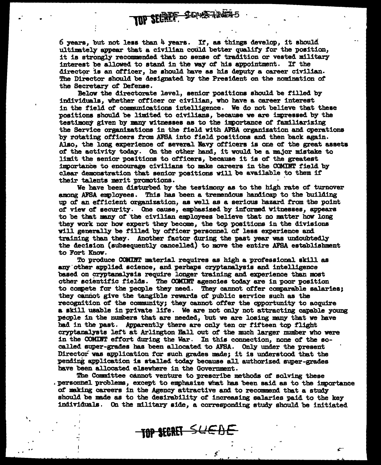6 years, but not less than 4 years. If, as things develop, it should ultimately appear that a civilian could better qualify for the position, it is strongly' recommended that no sense *ot* tradition or vested military interest be allowed to stand in the way *ot* his appointment. If' the director is an officer, he should have as his deputy a career civilian. The Director should be designated by the President on the nomination *ot*  the Secretary ot Defense.

TOP SECREF SONS 120

Below the directorate level, senior positions should be f'illed by individuals, whether officer or civilian, who bave a career interest in the f'ield *ot* communications intelligence. We do not believe that these positions should be limited to civilians, because we are impressed by the testimony given by many witnesses as to the inportance of familiarizing the Service organizations in the field with AFSA organization and operations by rotating otticera from .AFSA into f'ield positions and then back again. Also, the long experience *ot* several Bavy officers is orae of' the great asset& of the activity today. On the other hand, it would be a major mistake to limit the senior positions to officers, because it is of the greatest importance to encourage civilians to make careers in the COMINT field by clear demonstration that senior positions will be available to them if<br>their talents merit promotions.

We have been disturbed by the testimony as to the high rate of turnover among AFSA employees. This has been a tremendous handicap to the building up *ot* an efficient organization, as well as a serious hazard from the point of view of security. One cause, emphasized by informed witnesses, appears to be that many of the civilian employees believe that no matter how long they work nor how expert they become, the top positions in the divisions will generally be filled by officer personnel of less experience and training than they. Another factor during the past year was undoubtedly the decision (subsequently cancelled) to move the entire AFSA establishment to Fort Know.

To produce COMINT material requires as high a professional skill as any other applied science, and perhaps cryptanalysis and intelligence based on cryptanalysis require longer training and experience than most other scientific fields. The COMIRT agencies today are in poor position to compete for the people they need. They cannot offer comparable salaries; they cannot give the tangible rewards of public service such as the recognition of the community; they cannot offer the opportunity to acquire a skill usable in private life. We are not only not attracting capable young people in the numbers that are needed, but we are losing many that we have had in the past. Apparently there are only ten or fifteen top flight cryptaml.yata lef't at Arlington Ball out ot tbe much larger number who were in the COMINT effort during the War. In this connection, none of the socalled super-grades has been allocated to AFSA. Only under the present Director was application for such grades made; it is understood that the pending application is stalled today because all authorized super-grades have been allocated elsewhere in the Government.

The Committee cannot venture to prescribe methods of solving these • personnel problems, except to emphasize what has been said as to the importance of' making careers in the Agency attractive and to recommend. that a study should be made as to the desirability of increasing salaries paid to the key individuals. On the military aide, a corresponding study should be initiated

 $\mathbf{C}^{\star}$ 

TOP SECRET SUEDE